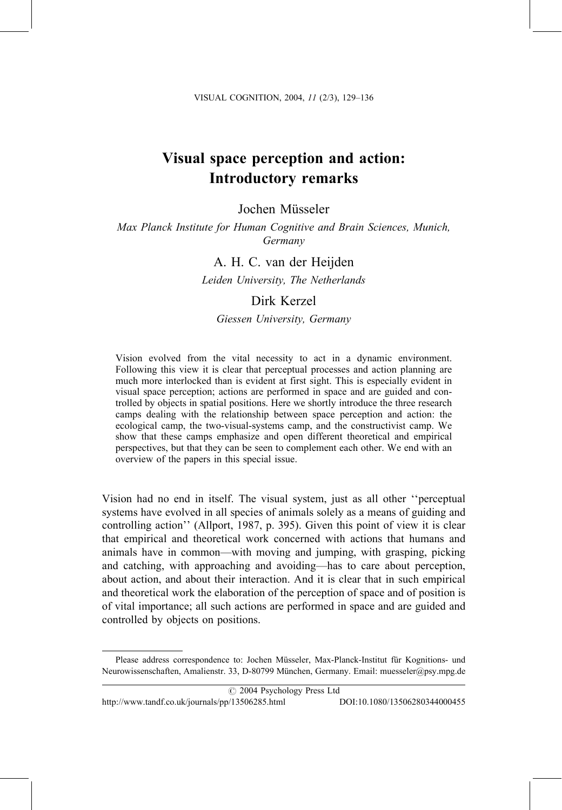# Visual space perception and action: **Introductory remarks**

# Jochen Müsseler

Max Planck Institute for Human Cognitive and Brain Sciences, Munich, Germany

# A. H. C. van der Heijden

Leiden University, The Netherlands

### Dirk Kerzel

Giessen University, Germany

Vision evolved from the vital necessity to act in a dynamic environment. Following this view it is clear that perceptual processes and action planning are much more interlocked than is evident at first sight. This is especially evident in visual space perception; actions are performed in space and are guided and controlled by objects in spatial positions. Here we shortly introduce the three research camps dealing with the relationship between space perception and action: the ecological camp, the two-visual-systems camp, and the constructivist camp. We show that these camps emphasize and open different theoretical and empirical perspectives, but that they can be seen to complement each other. We end with an overview of the papers in this special issue.

Vision had no end in itself. The visual system, just as all other "perceptual" systems have evolved in all species of animals solely as a means of guiding and controlling action" (Allport, 1987, p. 395). Given this point of view it is clear that empirical and theoretical work concerned with actions that humans and animals have in common—with moving and jumping, with grasping, picking and catching, with approaching and avoiding—has to care about perception, about action, and about their interaction. And it is clear that in such empirical and theoretical work the elaboration of the perception of space and of position is of vital importance; all such actions are performed in space and are guided and controlled by objects on positions.

### C 2004 Psychology Press Ltd

http://www.tandf.co.uk/journals/pp/13506285.html DOI:10.1080/13506280344000455

Please address correspondence to: Jochen Müsseler, Max-Planck-Institut für Kognitions- und Neurowissenschaften, Amalienstr. 33, D-80799 München, Germany. Email: muesseler@psy.mpg.de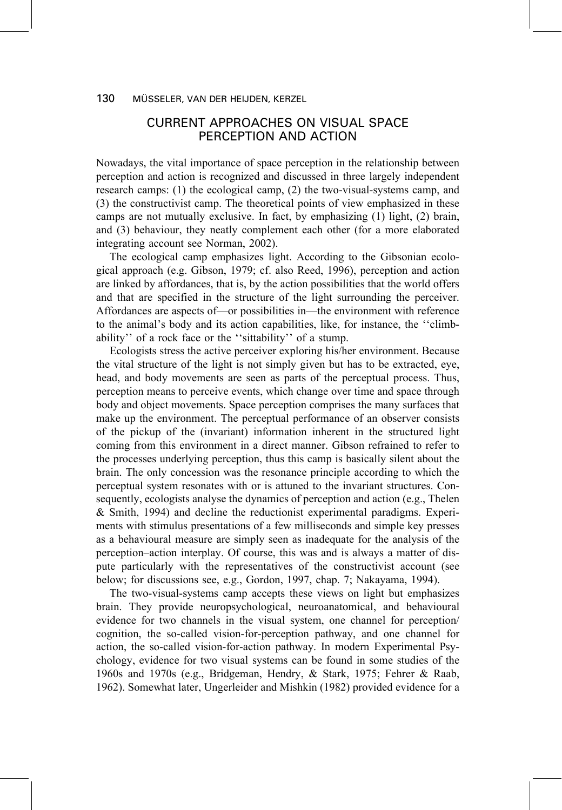# **CURRENT APPROACHES ON VISUAL SPACE** PERCEPTION AND ACTION

Nowadays, the vital importance of space perception in the relationship between perception and action is recognized and discussed in three largely independent research camps: (1) the ecological camp, (2) the two-visual-systems camp, and (3) the constructivist camp. The theoretical points of view emphasized in these camps are not mutually exclusive. In fact, by emphasizing (1) light, (2) brain, and (3) behaviour, they neatly complement each other (for a more elaborated integrating account see Norman, 2002).

The ecological camp emphasizes light. According to the Gibsonian ecological approach (e.g. Gibson, 1979; cf. also Reed, 1996), perception and action are linked by affordances, that is, by the action possibilities that the world offers and that are specified in the structure of the light surrounding the perceiver. Affordances are aspects of or possibilities in the environment with reference to the animal's body and its action capabilities, like, for instance, the "climbability" of a rock face or the "sittability" of a stump.

Ecologists stress the active perceiver exploring his/her environment. Because the vital structure of the light is not simply given but has to be extracted, eye, head, and body movements are seen as parts of the perceptual process. Thus, perception means to perceive events, which change over time and space through body and object movements. Space perception comprises the many surfaces that make up the environment. The perceptual performance of an observer consists of the pickup of the (invariant) information inherent in the structured light coming from this environment in a direct manner. Gibson refrained to refer to the processes underlying perception, thus this camp is basically silent about the brain. The only concession was the resonance principle according to which the perceptual system resonates with or is attuned to the invariant structures. Consequently, ecologists analyse the dynamics of perception and action (e.g., Thelen & Smith, 1994) and decline the reductionist experimental paradigms. Experiments with stimulus presentations of a few milliseconds and simple key presses as a behavioural measure are simply seen as inadequate for the analysis of the perception–action interplay. Of course, this was and is always a matter of dispute particularly with the representatives of the constructivist account (see below; for discussions see, e.g., Gordon, 1997, chap. 7; Nakayama, 1994).

The two-visual-systems camp accepts these views on light but emphasizes brain. They provide neuropsychological, neuroanatomical, and behavioural evidence for two channels in the visual system, one channel for perception/ cognition, the so-called vision-for-perception pathway, and one channel for action, the so-called vision-for-action pathway. In modern Experimental Psychology, evidence for two visual systems can be found in some studies of the 1960s and 1970s (e.g., Bridgeman, Hendry, & Stark, 1975; Fehrer & Raab, 1962). Somewhat later, Ungerleider and Mishkin (1982) provided evidence for a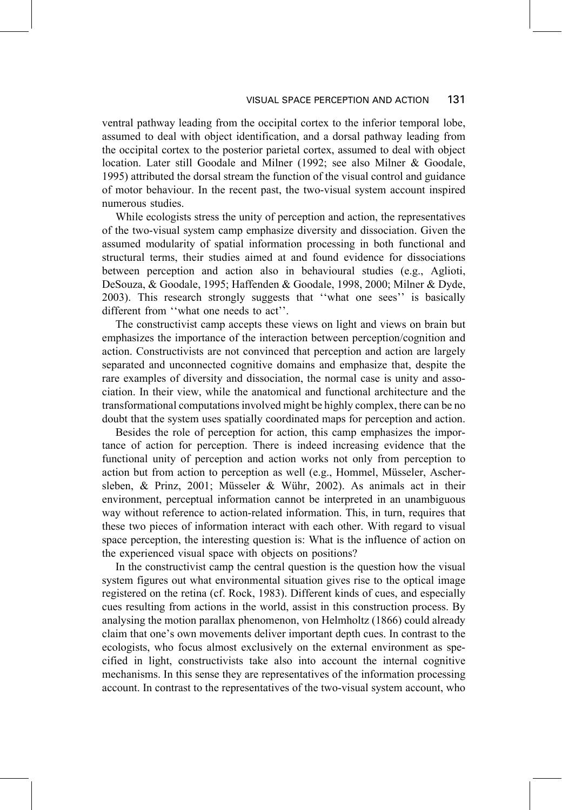ventral pathway leading from the occipital cortex to the inferior temporal lobe, assumed to deal with object identification, and a dorsal pathway leading from the occipital cortex to the posterior parietal cortex, assumed to deal with object location. Later still Goodale and Milner (1992; see also Milner & Goodale, 1995) attributed the dorsal stream the function of the visual control and guidance of motor behaviour. In the recent past, the two-visual system account inspired numerous studies.

While ecologists stress the unity of perception and action, the representatives of the two-visual system camp emphasize diversity and dissociation. Given the assumed modularity of spatial information processing in both functional and structural terms, their studies aimed at and found evidence for dissociations between perception and action also in behavioural studies (e.g., Aglioti, DeSouza, & Goodale, 1995; Haffenden & Goodale, 1998, 2000; Milner & Dyde, 2003). This research strongly suggests that "what one sees" is basically different from "what one needs to act".

The constructivist camp accepts these views on light and views on brain but emphasizes the importance of the interaction between perception/cognition and action. Constructivists are not convinced that perception and action are largely separated and unconnected cognitive domains and emphasize that, despite the rare examples of diversity and dissociation, the normal case is unity and association. In their view, while the anatomical and functional architecture and the transformational computations involved might be highly complex, there can be no doubt that the system uses spatially coordinated maps for perception and action.

Besides the role of perception for action, this camp emphasizes the importance of action for perception. There is indeed increasing evidence that the functional unity of perception and action works not only from perception to action but from action to perception as well (e.g., Hommel, Müsseler, Aschersleben, & Prinz, 2001; Müsseler & Wühr, 2002). As animals act in their environment, perceptual information cannot be interpreted in an unambiguous way without reference to action-related information. This, in turn, requires that these two pieces of information interact with each other. With regard to visual space perception, the interesting question is: What is the influence of action on the experienced visual space with objects on positions?

In the constructivist camp the central question is the question how the visual system figures out what environmental situation gives rise to the optical image registered on the retina (cf. Rock, 1983). Different kinds of cues, and especially cues resulting from actions in the world, assist in this construction process. By analysing the motion parallax phenomenon, von Helmholtz (1866) could already claim that one's own movements deliver important depth cues. In contrast to the ecologists, who focus almost exclusively on the external environment as specified in light, constructivists take also into account the internal cognitive mechanisms. In this sense they are representatives of the information processing account. In contrast to the representatives of the two-visual system account, who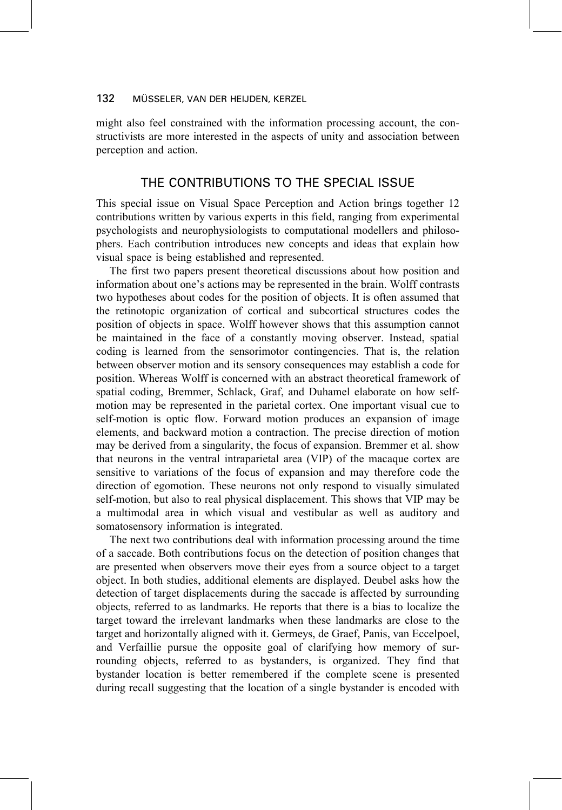#### 132 MÜSSELER, VAN DER HEIJDEN, KERZEL

might also feel constrained with the information processing account, the constructivists are more interested in the aspects of unity and association between perception and action.

# THE CONTRIBUTIONS TO THE SPECIAL ISSUE

This special issue on Visual Space Perception and Action brings together 12 contributions written by various experts in this field, ranging from experimental psychologists and neurophysiologists to computational modellers and philosophers. Each contribution introduces new concepts and ideas that explain how visual space is being established and represented.

The first two papers present theoretical discussions about how position and information about one's actions may be represented in the brain. Wolff contrasts two hypotheses about codes for the position of objects. It is often assumed that the retinotopic organization of cortical and subcortical structures codes the position of objects in space. Wolff however shows that this assumption cannot be maintained in the face of a constantly moving observer. Instead, spatial coding is learned from the sensorimotor contingencies. That is, the relation between observer motion and its sensory consequences may establish a code for position. Whereas Wolff is concerned with an abstract theoretical framework of spatial coding, Bremmer, Schlack, Graf, and Duhamel elaborate on how selfmotion may be represented in the parietal cortex. One important visual cue to self-motion is optic flow. Forward motion produces an expansion of image elements, and backward motion a contraction. The precise direction of motion may be derived from a singularity, the focus of expansion. Bremmer et al. show that neurons in the ventral intraparietal area (VIP) of the macaque cortex are sensitive to variations of the focus of expansion and may therefore code the direction of egomotion. These neurons not only respond to visually simulated self-motion, but also to real physical displacement. This shows that VIP may be a multimodal area in which visual and vestibular as well as auditory and somatosensory information is integrated.

The next two contributions deal with information processing around the time of a saccade. Both contributions focus on the detection of position changes that are presented when observers move their eyes from a source object to a target object. In both studies, additional elements are displayed. Deubel asks how the detection of target displacements during the saccade is affected by surrounding objects, referred to as landmarks. He reports that there is a bias to localize the target toward the irrelevant landmarks when these landmarks are close to the target and horizontally aligned with it. Germeys, de Graef, Panis, van Eccelpoel, and Verfaillie pursue the opposite goal of clarifying how memory of surrounding objects, referred to as bystanders, is organized. They find that bystander location is better remembered if the complete scene is presented during recall suggesting that the location of a single bystander is encoded with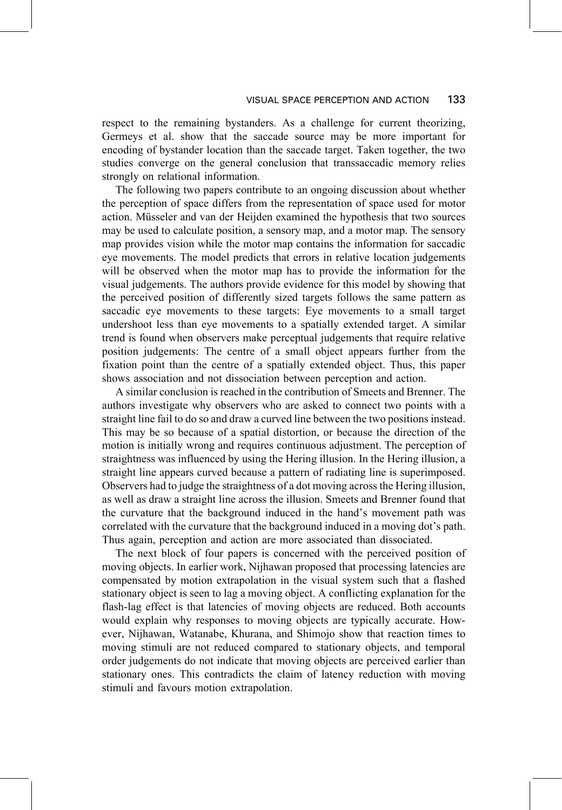respect to the remaining bystanders. As a challenge for current theorizing, Germeys et al. show that the saccade source may be more important for encoding of bystander location than the saccade target. Taken together, the two studies converge on the general conclusion that transsaccadic memory relies strongly on relational information.

The following two papers contribute to an ongoing discussion about whether the perception of space differs from the representation of space used for motor action. Müsseler and van der Heijden examined the hypothesis that two sources may be used to calculate position, a sensory map, and a motor map. The sensory map provides vision while the motor map contains the information for saccadic eye movements. The model predicts that errors in relative location judgements will be observed when the motor map has to provide the information for the visual judgements. The authors provide evidence for this model by showing that the perceived position of differently sized targets follows the same pattern as saccadic eye movements to these targets: Eye movements to a small target undershoot less than eye movements to a spatially extended target. A similar trend is found when observers make perceptual judgements that require relative position judgements: The centre of a small object appears further from the fixation point than the centre of a spatially extended object. Thus, this paper shows association and not dissociation between perception and action.

A similar conclusion is reached in the contribution of Smeets and Brenner. The authors investigate why observers who are asked to connect two points with a straight line fail to do so and draw a curved line between the two positions instead. This may be so because of a spatial distortion, or because the direction of the motion is initially wrong and requires continuous adjustment. The perception of straightness was influenced by using the Hering illusion. In the Hering illusion, a straight line appears curved because a pattern of radiating line is superimposed. Observers had to judge the straightness of a dot moving across the Hering illusion, as well as draw a straight line across the illusion. Smeets and Brenner found that the curvature that the background induced in the hand's movement path was correlated with the curvature that the background induced in a moving dot's path. Thus again, perception and action are more associated than dissociated.

The next block of four papers is concerned with the perceived position of moving objects. In earlier work, Nijhawan proposed that processing latencies are compensated by motion extrapolation in the visual system such that a flashed stationary object is seen to lag a moving object. A conflicting explanation for the flash-lag effect is that latencies of moving objects are reduced. Both accounts would explain why responses to moving objects are typically accurate. However, Nijhawan, Watanabe, Khurana, and Shimojo show that reaction times to moving stimuli are not reduced compared to stationary objects, and temporal order judgements do not indicate that moving objects are perceived earlier than stationary ones. This contradicts the claim of latency reduction with moving stimuli and favours motion extrapolation.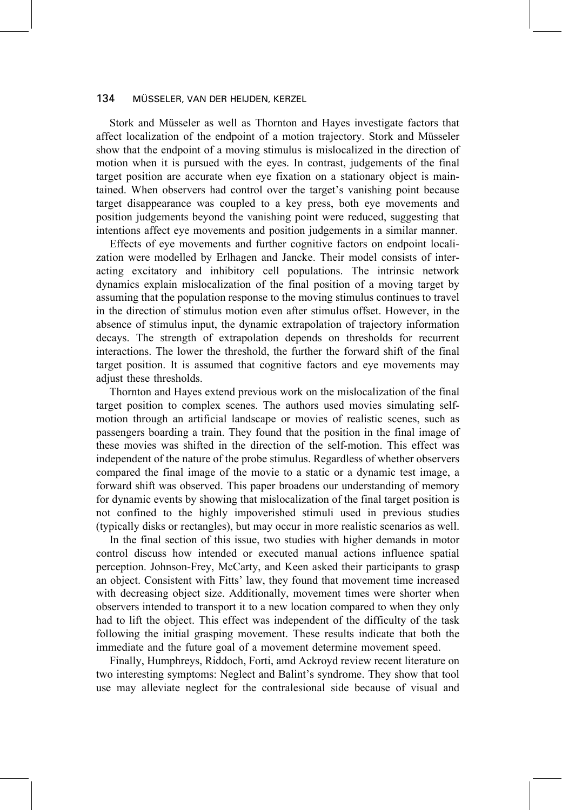#### 134 MÜSSELER, VAN DER HEIJDEN, KERZEL

Stork and Müsseler as well as Thornton and Hayes investigate factors that affect localization of the endpoint of a motion trajectory. Stork and Müsseler show that the endpoint of a moving stimulus is mislocalized in the direction of motion when it is pursued with the eyes. In contrast, judgements of the final target position are accurate when eye fixation on a stationary object is maintained. When observers had control over the target's vanishing point because target disappearance was coupled to a key press, both eye movements and position judgements beyond the vanishing point were reduced, suggesting that intentions affect eye movements and position judgements in a similar manner.

Effects of eye movements and further cognitive factors on endpoint localization were modelled by Erlhagen and Jancke. Their model consists of interacting excitatory and inhibitory cell populations. The intrinsic network dynamics explain mislocalization of the final position of a moving target by assuming that the population response to the moving stimulus continues to travel in the direction of stimulus motion even after stimulus offset. However, in the absence of stimulus input, the dynamic extrapolation of trajectory information decays. The strength of extrapolation depends on thresholds for recurrent interactions. The lower the threshold, the further the forward shift of the final target position. It is assumed that cognitive factors and eye movements may adjust these thresholds.

Thornton and Hayes extend previous work on the mislocalization of the final target position to complex scenes. The authors used movies simulating selfmotion through an artificial landscape or movies of realistic scenes, such as passengers boarding a train. They found that the position in the final image of these movies was shifted in the direction of the self-motion. This effect was independent of the nature of the probe stimulus. Regardless of whether observers compared the final image of the movie to a static or a dynamic test image, a forward shift was observed. This paper broadens our understanding of memory for dynamic events by showing that mislocalization of the final target position is not confined to the highly impoverished stimuli used in previous studies (typically disks or rectangles), but may occur in more realistic scenarios as well.

In the final section of this issue, two studies with higher demands in motor control discuss how intended or executed manual actions influence spatial perception. Johnson-Frey, McCarty, and Keen asked their participants to grasp an object. Consistent with Fitts' law, they found that movement time increased with decreasing object size. Additionally, movement times were shorter when observers intended to transport it to a new location compared to when they only had to lift the object. This effect was independent of the difficulty of the task following the initial grasping movement. These results indicate that both the immediate and the future goal of a movement determine movement speed.

Finally, Humphreys, Riddoch, Forti, amd Ackroyd review recent literature on two interesting symptoms: Neglect and Balint's syndrome. They show that tool use may alleviate neglect for the contralesional side because of visual and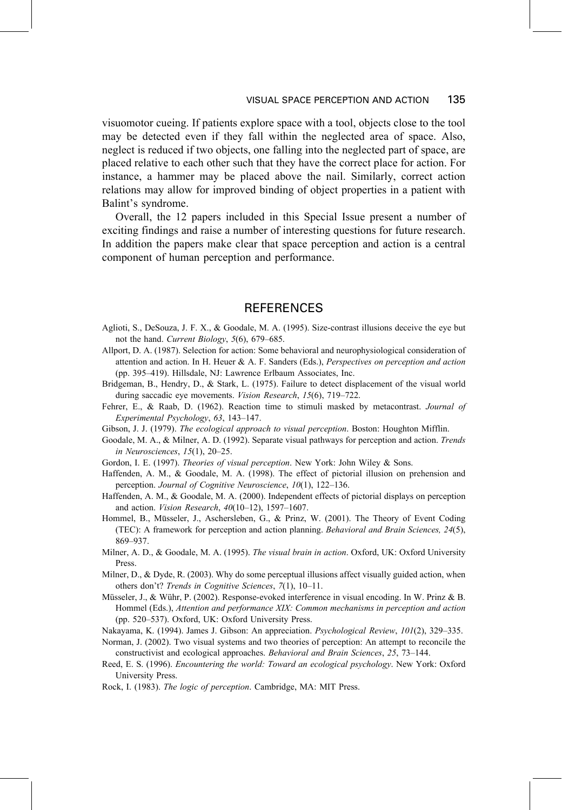#### VISUAL SPACE PERCEPTION AND ACTION 135

visuomotor cueing. If patients explore space with a tool, objects close to the tool may be detected even if they fall within the neglected area of space. Also, neglect is reduced if two objects, one falling into the neglected part of space, are placed relative to each other such that they have the correct place for action. For instance, a hammer may be placed above the nail. Similarly, correct action relations may allow for improved binding of object properties in a patient with Balint's syndrome.

Overall, the 12 papers included in this Special Issue present a number of exciting findings and raise a number of interesting questions for future research. In addition the papers make clear that space perception and action is a central component of human perception and performance.

### **REFERENCES**

- Aglioti, S., DeSouza, J. F. X., & Goodale, M. A. (1995). Size-contrast illusions deceive the eye but not the hand. Current Biology, 5(6), 679-685.
- Allport, D. A. (1987). Selection for action: Some behavioral and neurophysiological consideration of attention and action. In H. Heuer & A. F. Sanders (Eds.), Perspectives on perception and action (pp. 395-419). Hillsdale, NJ: Lawrence Erlbaum Associates, Inc.
- Bridgeman, B., Hendry, D., & Stark, L. (1975). Failure to detect displacement of the visual world during saccadic eye movements. Vision Research, 15(6), 719-722.
- Fehrer, E., & Raab, D. (1962). Reaction time to stimuli masked by metacontrast. Journal of Experimental Psychology, 63, 143-147.
- Gibson, J. J. (1979). The ecological approach to visual perception. Boston: Houghton Mifflin.
- Goodale, M. A., & Milner, A. D. (1992). Separate visual pathways for perception and action. Trends in Neurosciences,  $15(1)$ , 20-25.
- Gordon, I. E. (1997). Theories of visual perception. New York: John Wiley & Sons.
- Haffenden, A. M., & Goodale, M. A. (1998). The effect of pictorial illusion on prehension and perception. Journal of Cognitive Neuroscience, 10(1), 122–136.
- Haffenden, A. M., & Goodale, M. A. (2000). Independent effects of pictorial displays on perception and action. *Vision Research*,  $40(10-12)$ , 1597-1607.
- Hommel, B., Müsseler, J., Aschersleben, G., & Prinz, W. (2001). The Theory of Event Coding (TEC): A framework for perception and action planning. Behavioral and Brain Sciences, 24(5), 869-937.
- Milner, A. D., & Goodale, M. A. (1995). The visual brain in action. Oxford, UK: Oxford University Press.
- Milner, D., & Dyde, R. (2003). Why do some perceptual illusions affect visually guided action, when others don't? Trends in Cognitive Sciences, 7(1), 10-11.
- Müsseler, J., & Wühr, P. (2002). Response-evoked interference in visual encoding. In W. Prinz & B. Hommel (Eds.), Attention and performance XIX: Common mechanisms in perception and action (pp. 520–537). Oxford, UK: Oxford University Press.
- Nakayama, K. (1994). James J. Gibson: An appreciation. *Psychological Review*, 101(2), 329–335.
- Norman, J. (2002). Two visual systems and two theories of perception: An attempt to reconcile the constructivist and ecological approaches. Behavioral and Brain Sciences, 25, 73-144.
- Reed, E. S. (1996). *Encountering the world: Toward an ecological psychology*. New York: Oxford University Press.
- Rock, I. (1983). The logic of perception. Cambridge, MA: MIT Press.